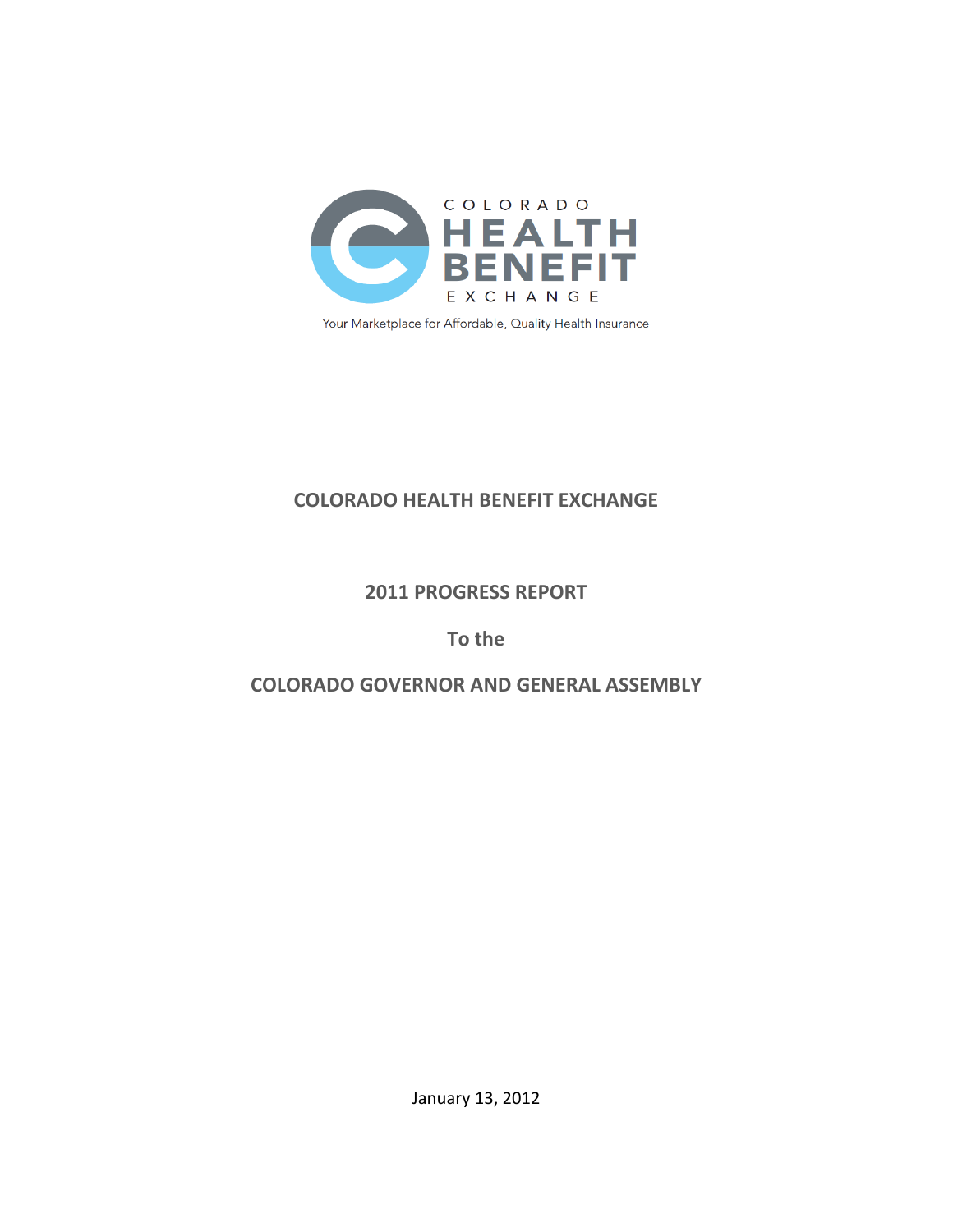

Your Marketplace for Affordable, Quality Health Insurance

# **COLORADO HEALTH BENEFIT EXCHANGE**

## **2011 PROGRESS REPORT**

## **To the**

# **COLORADO GOVERNOR AND GENERAL ASSEMBLY**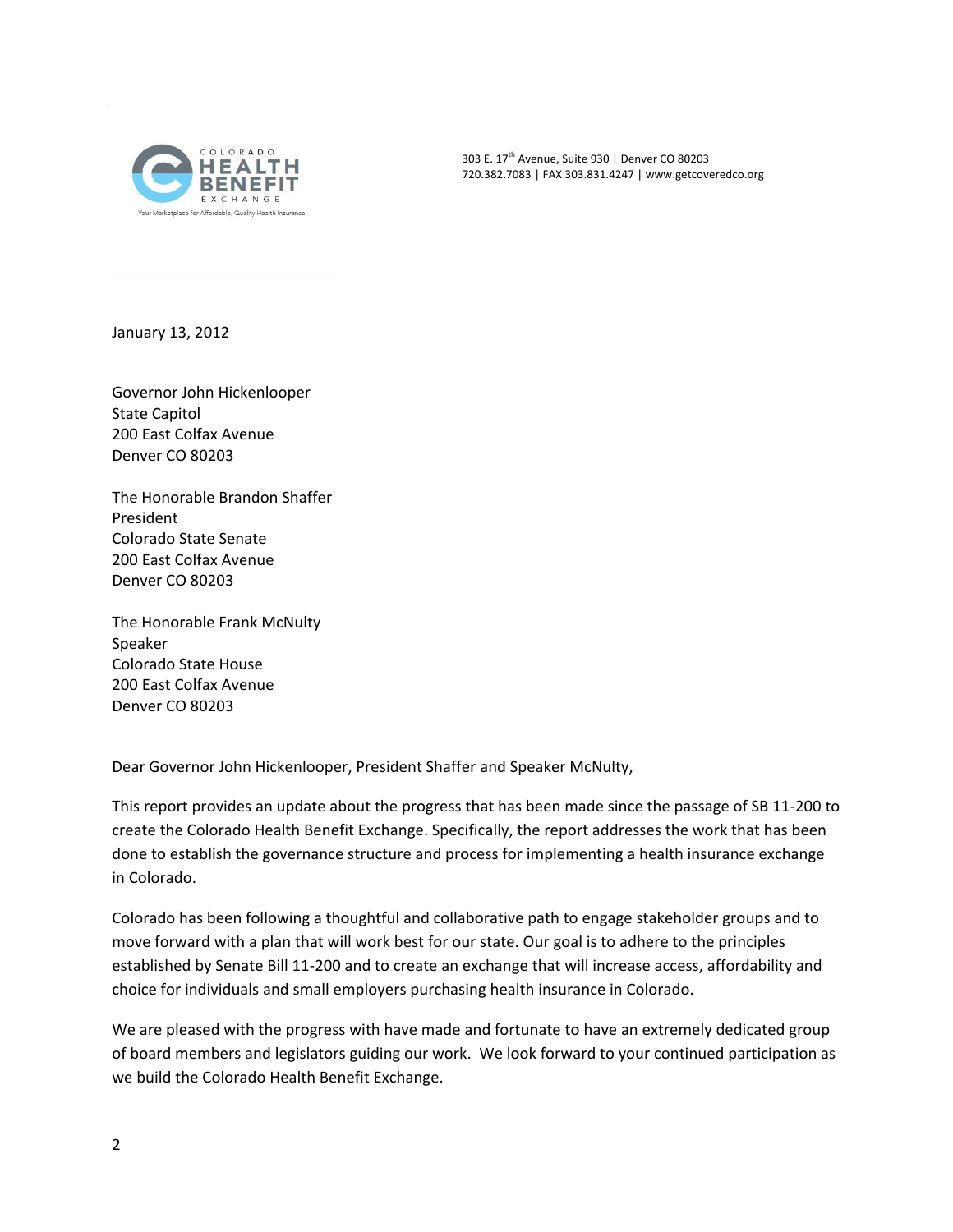

303 E. 17<sup>th</sup> Avenue, Suite 930 | Denver CO 80203 720.382.7083 | FAX 303.831.4247 | www.getcoveredco.org

January 13, 2012

Governor John Hickenlooper State Capitol 200 East Colfax Avenue Denver CO 80203

The Honorable Brandon Shaffer President Colorado State Senate 200 East Colfax Avenue Denver CO 80203

The Honorable Frank McNulty Speaker Colorado State House 200 East Colfax Avenue Denver CO 80203

Dear Governor John Hickenlooper, President Shaffer and Speaker McNulty,

This report provides an update about the progress that has been made since the passage of SB 11-200 to create the Colorado Health Benefit Exchange. Specifically, the report addresses the work that has been done to establish the governance structure and process for implementing a health insurance exchange in Colorado.

Colorado has been following a thoughtful and collaborative path to engage stakeholder groups and to move forward with a plan that will work best for our state. Our goal is to adhere to the principles established by Senate Bill 11-200 and to create an exchange that will increase access, affordability and choice for individuals and small employers purchasing health insurance in Colorado.

We are pleased with the progress with have made and fortunate to have an extremely dedicated group of board members and legislators guiding our work. We look forward to your continued participation as we build the Colorado Health Benefit Exchange.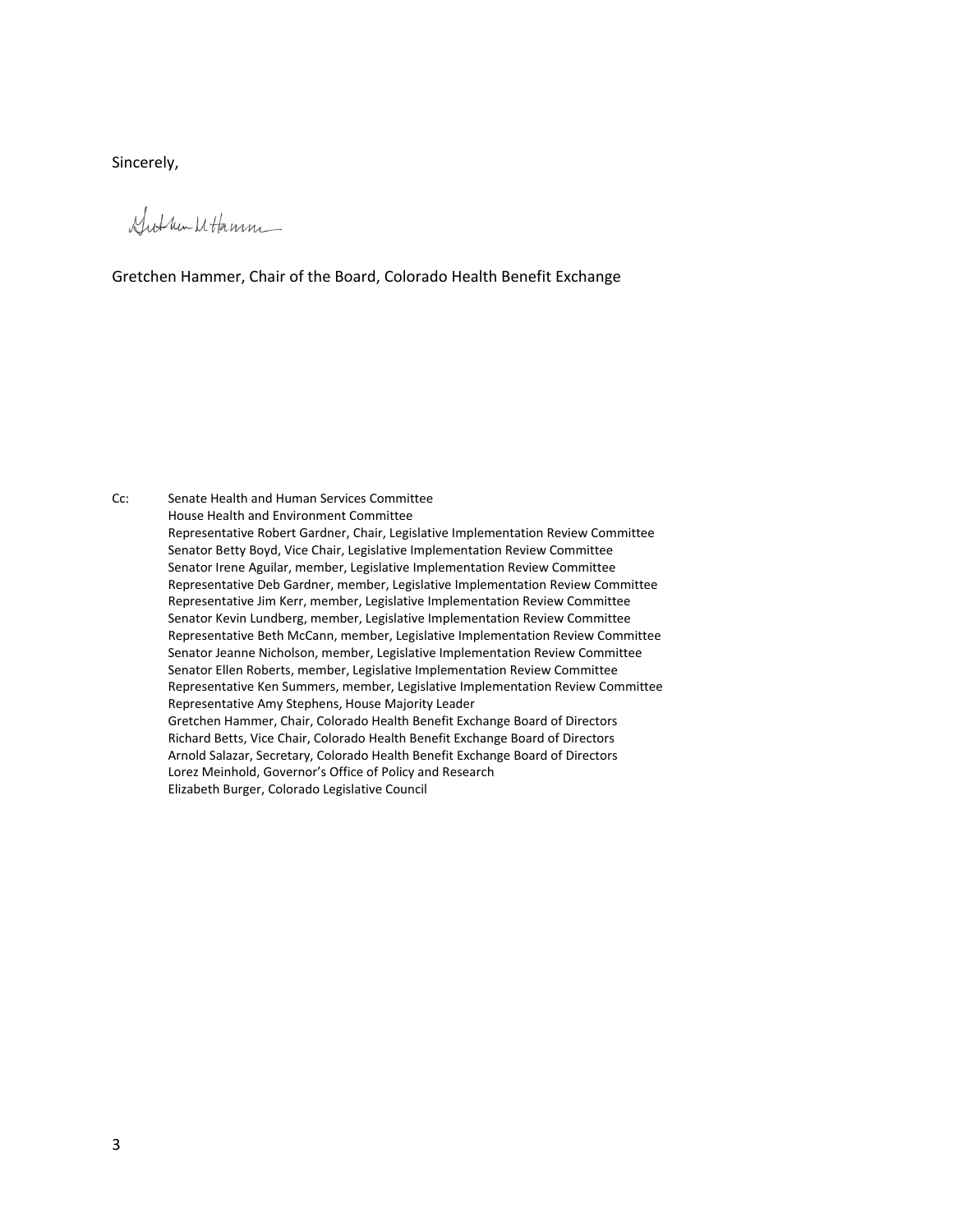Sincerely,

Gut un Mtamm

### Gretchen Hammer, Chair of the Board, Colorado Health Benefit Exchange

Cc: Senate Health and Human Services Committee House Health and Environment Committee Representative Robert Gardner, Chair, Legislative Implementation Review Committee Senator Betty Boyd, Vice Chair, Legislative Implementation Review Committee Senator Irene Aguilar, member, Legislative Implementation Review Committee Representative Deb Gardner, member, Legislative Implementation Review Committee Representative Jim Kerr, member, Legislative Implementation Review Committee Senator Kevin Lundberg, member, Legislative Implementation Review Committee Representative Beth McCann, member, Legislative Implementation Review Committee Senator Jeanne Nicholson, member, Legislative Implementation Review Committee Senator Ellen Roberts, member, Legislative Implementation Review Committee Representative Ken Summers, member, Legislative Implementation Review Committee Representative Amy Stephens, House Majority Leader Gretchen Hammer, Chair, Colorado Health Benefit Exchange Board of Directors Richard Betts, Vice Chair, Colorado Health Benefit Exchange Board of Directors Arnold Salazar, Secretary, Colorado Health Benefit Exchange Board of Directors Lorez Meinhold, Governor's Office of Policy and Research Elizabeth Burger, Colorado Legislative Council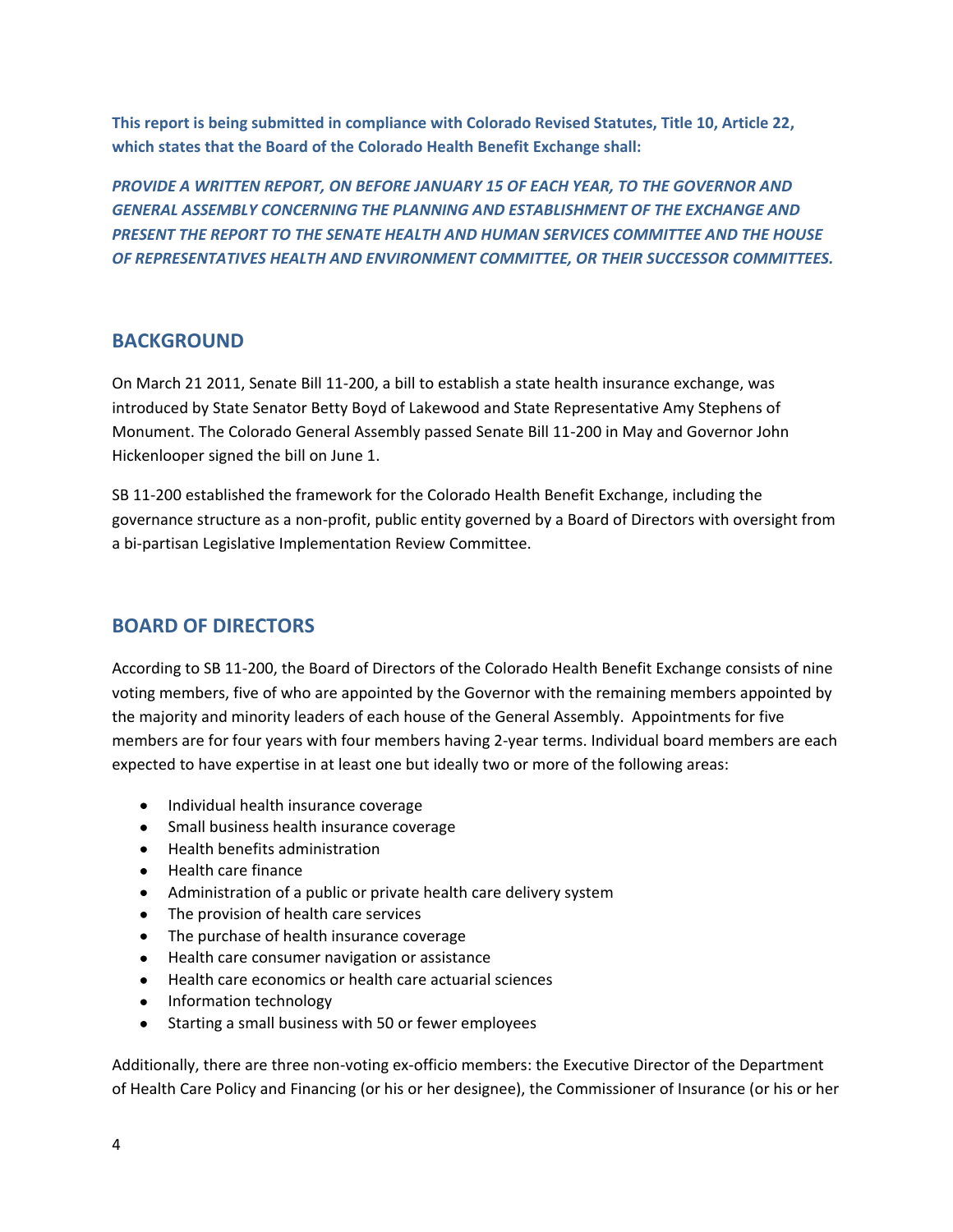**This report is being submitted in compliance with Colorado Revised Statutes, Title 10, Article 22, which states that the Board of the Colorado Health Benefit Exchange shall:**

*PROVIDE A WRITTEN REPORT, ON BEFORE JANUARY 15 OF EACH YEAR, TO THE GOVERNOR AND GENERAL ASSEMBLY CONCERNING THE PLANNING AND ESTABLISHMENT OF THE EXCHANGE AND PRESENT THE REPORT TO THE SENATE HEALTH AND HUMAN SERVICES COMMITTEE AND THE HOUSE OF REPRESENTATIVES HEALTH AND ENVIRONMENT COMMITTEE, OR THEIR SUCCESSOR COMMITTEES.*

## **BACKGROUND**

On March 21 2011, Senate Bill 11-200, a bill to establish a state health insurance exchange, was introduced by State Senator Betty Boyd of Lakewood and State Representative Amy Stephens of Monument. The Colorado General Assembly passed Senate Bill 11-200 in May and Governor John Hickenlooper signed the bill on June 1.

SB 11-200 established the framework for the Colorado Health Benefit Exchange, including the governance structure as a non-profit, public entity governed by a Board of Directors with oversight from a bi-partisan Legislative Implementation Review Committee.

## **BOARD OF DIRECTORS**

According to SB 11-200, the Board of Directors of the Colorado Health Benefit Exchange consists of nine voting members, five of who are appointed by the Governor with the remaining members appointed by the majority and minority leaders of each house of the General Assembly. Appointments for five members are for four years with four members having 2-year terms. Individual board members are each expected to have expertise in at least one but ideally two or more of the following areas:

- Individual health insurance coverage
- Small business health insurance coverage
- Health benefits administration
- Health care finance
- Administration of a public or private health care delivery system  $\bullet$
- The provision of health care services
- The purchase of health insurance coverage
- Health care consumer navigation or assistance
- Health care economics or health care actuarial sciences
- Information technology
- $\bullet$ Starting a small business with 50 or fewer employees

Additionally, there are three non-voting ex-officio members: the Executive Director of the Department of Health Care Policy and Financing (or his or her designee), the Commissioner of Insurance (or his or her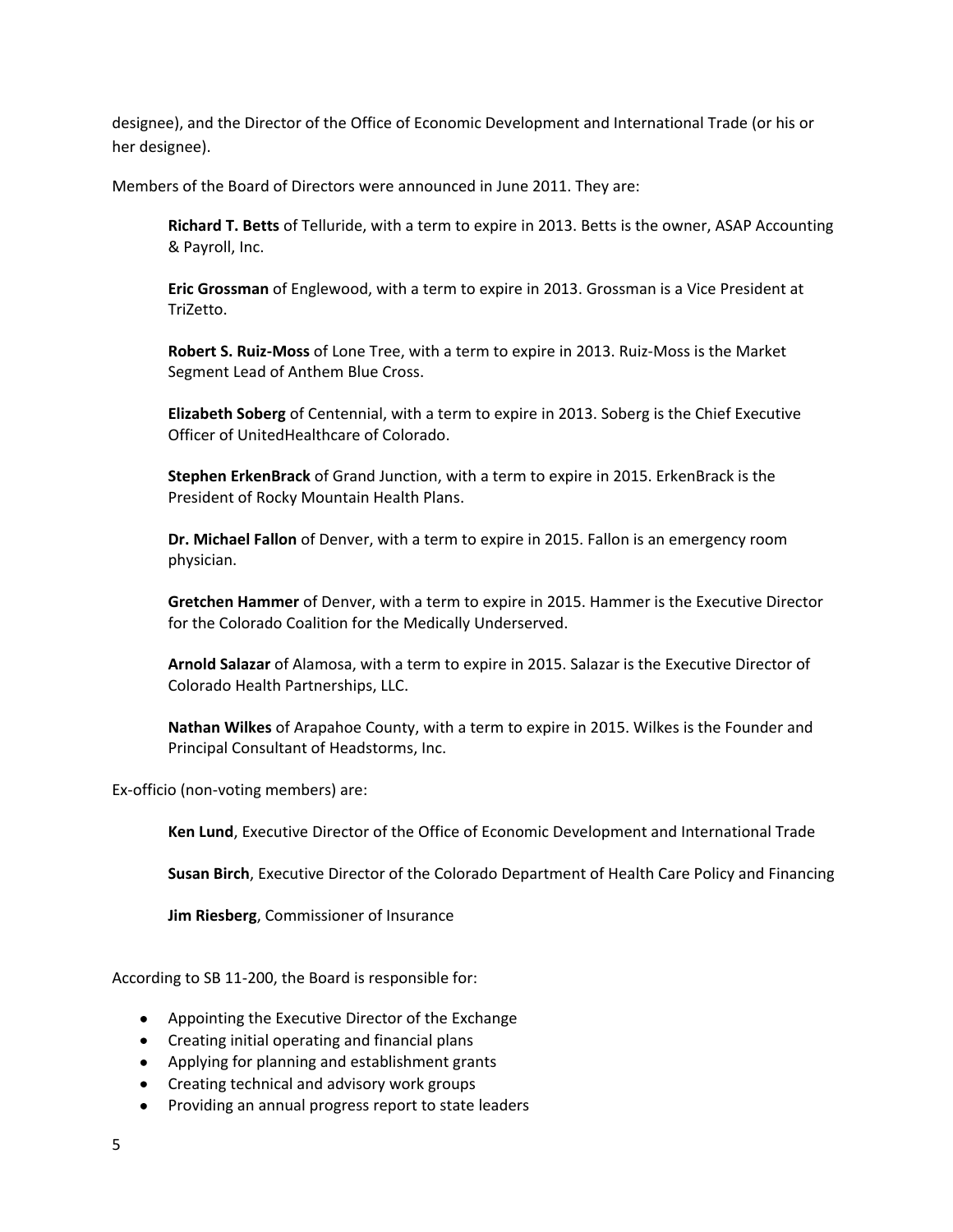designee), and the Director of the Office of Economic Development and International Trade (or his or her designee).

Members of the Board of Directors were announced in June 2011. They are:

**Richard T. Betts** of Telluride, with a term to expire in 2013. Betts is the owner, ASAP Accounting & Payroll, Inc.

**Eric Grossman** of Englewood, with a term to expire in 2013. Grossman is a Vice President at TriZetto.

**Robert S. Ruiz-Moss** of Lone Tree, with a term to expire in 2013. Ruiz-Moss is the Market Segment Lead of Anthem Blue Cross.

**Elizabeth Soberg** of Centennial, with a term to expire in 2013. Soberg is the Chief Executive Officer of UnitedHealthcare of Colorado.

**Stephen ErkenBrack** of Grand Junction, with a term to expire in 2015. ErkenBrack is the President of Rocky Mountain Health Plans.

**Dr. Michael Fallon** of Denver, with a term to expire in 2015. Fallon is an emergency room physician.

**Gretchen Hammer** of Denver, with a term to expire in 2015. Hammer is the Executive Director for the Colorado Coalition for the Medically Underserved.

**Arnold Salazar** of Alamosa, with a term to expire in 2015. Salazar is the Executive Director of Colorado Health Partnerships, LLC.

**Nathan Wilkes** of Arapahoe County, with a term to expire in 2015. Wilkes is the Founder and Principal Consultant of Headstorms, Inc.

Ex-officio (non-voting members) are:

**Ken Lund**, Executive Director of the Office of Economic Development and International Trade

**Susan Birch**, Executive Director of the Colorado Department of Health Care Policy and Financing

**Jim Riesberg**, Commissioner of Insurance

According to SB 11-200, the Board is responsible for:

- Appointing the Executive Director of the Exchange
- Creating initial operating and financial plans
- Applying for planning and establishment grants
- Creating technical and advisory work groups
- Providing an annual progress report to state leaders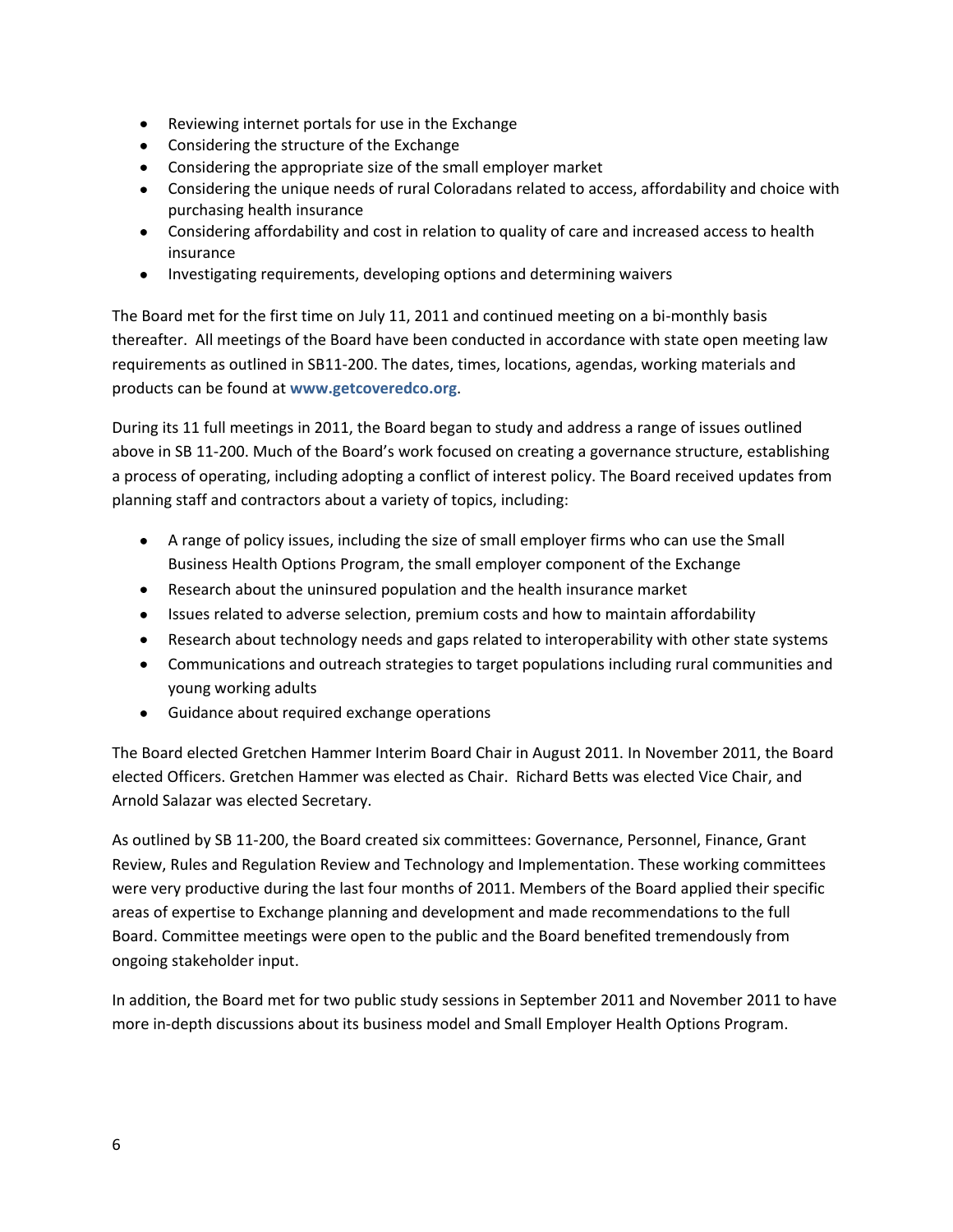- Reviewing internet portals for use in the Exchange
- Considering the structure of the Exchange
- Considering the appropriate size of the small employer market
- Considering the unique needs of rural Coloradans related to access, affordability and choice with purchasing health insurance
- Considering affordability and cost in relation to quality of care and increased access to health insurance
- Investigating requirements, developing options and determining waivers

The Board met for the first time on July 11, 2011 and continued meeting on a bi-monthly basis thereafter. All meetings of the Board have been conducted in accordance with state open meeting law requirements as outlined in SB11-200. The dates, times, locations, agendas, working materials and products can be found at **www.getcoveredco.org**.

During its 11 full meetings in 2011, the Board began to study and address a range of issues outlined above in SB 11-200. Much of the Board's work focused on creating a governance structure, establishing a process of operating, including adopting a conflict of interest policy. The Board received updates from planning staff and contractors about a variety of topics, including:

- A range of policy issues, including the size of small employer firms who can use the Small Business Health Options Program, the small employer component of the Exchange
- Research about the uninsured population and the health insurance market
- Issues related to adverse selection, premium costs and how to maintain affordability
- Research about technology needs and gaps related to interoperability with other state systems
- Communications and outreach strategies to target populations including rural communities and young working adults
- Guidance about required exchange operations

The Board elected Gretchen Hammer Interim Board Chair in August 2011. In November 2011, the Board elected Officers. Gretchen Hammer was elected as Chair. Richard Betts was elected Vice Chair, and Arnold Salazar was elected Secretary.

As outlined by SB 11-200, the Board created six committees: Governance, Personnel, Finance, Grant Review, Rules and Regulation Review and Technology and Implementation. These working committees were very productive during the last four months of 2011. Members of the Board applied their specific areas of expertise to Exchange planning and development and made recommendations to the full Board. Committee meetings were open to the public and the Board benefited tremendously from ongoing stakeholder input.

In addition, the Board met for two public study sessions in September 2011 and November 2011 to have more in-depth discussions about its business model and Small Employer Health Options Program.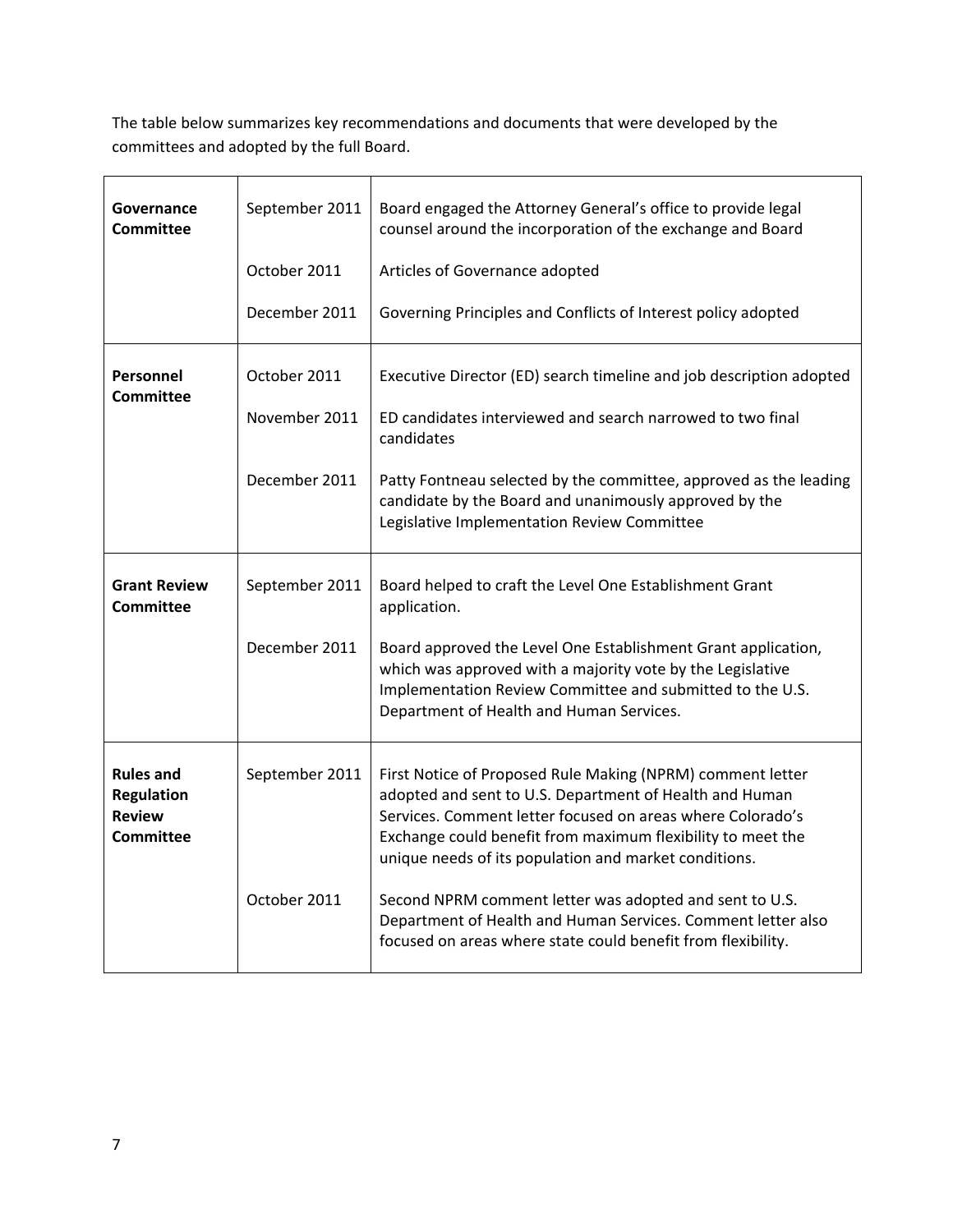The table below summarizes key recommendations and documents that were developed by the committees and adopted by the full Board.

| Governance<br><b>Committee</b>                                             | September 2011 | Board engaged the Attorney General's office to provide legal<br>counsel around the incorporation of the exchange and Board                                                                                                                                                                                  |
|----------------------------------------------------------------------------|----------------|-------------------------------------------------------------------------------------------------------------------------------------------------------------------------------------------------------------------------------------------------------------------------------------------------------------|
|                                                                            | October 2011   | Articles of Governance adopted                                                                                                                                                                                                                                                                              |
|                                                                            | December 2011  | Governing Principles and Conflicts of Interest policy adopted                                                                                                                                                                                                                                               |
| Personnel<br>Committee                                                     | October 2011   | Executive Director (ED) search timeline and job description adopted                                                                                                                                                                                                                                         |
|                                                                            | November 2011  | ED candidates interviewed and search narrowed to two final<br>candidates                                                                                                                                                                                                                                    |
|                                                                            | December 2011  | Patty Fontneau selected by the committee, approved as the leading<br>candidate by the Board and unanimously approved by the<br>Legislative Implementation Review Committee                                                                                                                                  |
| <b>Grant Review</b><br>Committee                                           | September 2011 | Board helped to craft the Level One Establishment Grant<br>application.                                                                                                                                                                                                                                     |
|                                                                            | December 2011  | Board approved the Level One Establishment Grant application,<br>which was approved with a majority vote by the Legislative<br>Implementation Review Committee and submitted to the U.S.<br>Department of Health and Human Services.                                                                        |
| <b>Rules and</b><br><b>Regulation</b><br><b>Review</b><br><b>Committee</b> | September 2011 | First Notice of Proposed Rule Making (NPRM) comment letter<br>adopted and sent to U.S. Department of Health and Human<br>Services. Comment letter focused on areas where Colorado's<br>Exchange could benefit from maximum flexibility to meet the<br>unique needs of its population and market conditions. |
|                                                                            | October 2011   | Second NPRM comment letter was adopted and sent to U.S.<br>Department of Health and Human Services. Comment letter also<br>focused on areas where state could benefit from flexibility.                                                                                                                     |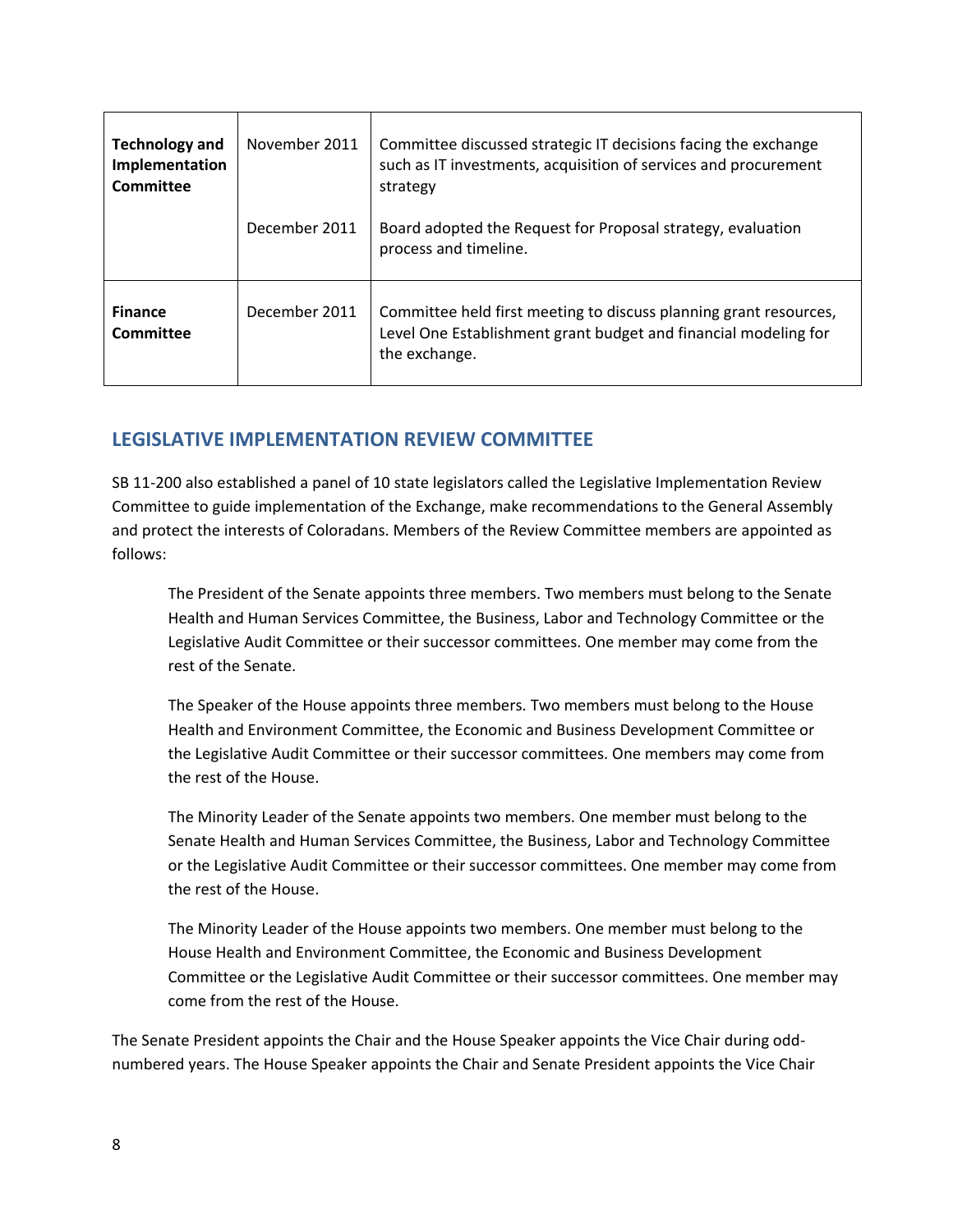| <b>Technology and</b><br>Implementation<br>Committee | November 2011 | Committee discussed strategic IT decisions facing the exchange<br>such as IT investments, acquisition of services and procurement<br>strategy         |
|------------------------------------------------------|---------------|-------------------------------------------------------------------------------------------------------------------------------------------------------|
|                                                      | December 2011 | Board adopted the Request for Proposal strategy, evaluation<br>process and timeline.                                                                  |
| <b>Finance</b><br>Committee                          | December 2011 | Committee held first meeting to discuss planning grant resources,<br>Level One Establishment grant budget and financial modeling for<br>the exchange. |

## **LEGISLATIVE IMPLEMENTATION REVIEW COMMITTEE**

SB 11-200 also established a panel of 10 state legislators called the Legislative Implementation Review Committee to guide implementation of the Exchange, make recommendations to the General Assembly and protect the interests of Coloradans. Members of the Review Committee members are appointed as follows:

The President of the Senate appoints three members. Two members must belong to the Senate Health and Human Services Committee, the Business, Labor and Technology Committee or the Legislative Audit Committee or their successor committees. One member may come from the rest of the Senate.

The Speaker of the House appoints three members. Two members must belong to the House Health and Environment Committee, the Economic and Business Development Committee or the Legislative Audit Committee or their successor committees. One members may come from the rest of the House.

The Minority Leader of the Senate appoints two members. One member must belong to the Senate Health and Human Services Committee, the Business, Labor and Technology Committee or the Legislative Audit Committee or their successor committees. One member may come from the rest of the House.

The Minority Leader of the House appoints two members. One member must belong to the House Health and Environment Committee, the Economic and Business Development Committee or the Legislative Audit Committee or their successor committees. One member may come from the rest of the House.

The Senate President appoints the Chair and the House Speaker appoints the Vice Chair during oddnumbered years. The House Speaker appoints the Chair and Senate President appoints the Vice Chair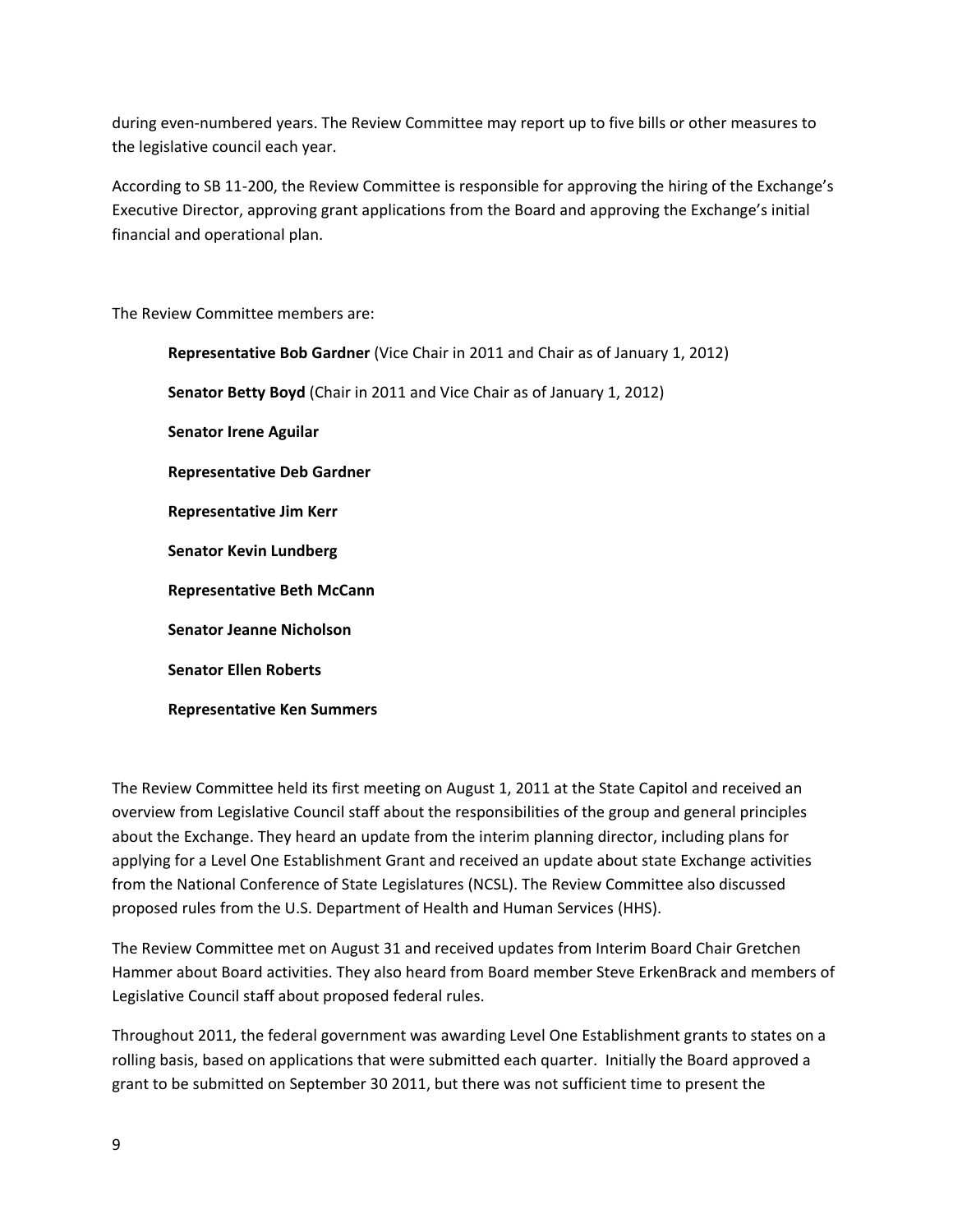during even-numbered years. The Review Committee may report up to five bills or other measures to the legislative council each year.

According to SB 11-200, the Review Committee is responsible for approving the hiring of the Exchange's Executive Director, approving grant applications from the Board and approving the Exchange's initial financial and operational plan.

The Review Committee members are:

**Representative Ken Summers**

**Representative Bob Gardner** (Vice Chair in 2011 and Chair as of January 1, 2012) **Senator Betty Boyd** (Chair in 2011 and Vice Chair as of January 1, 2012) **Senator Irene Aguilar Representative Deb Gardner Representative Jim Kerr Senator Kevin Lundberg Representative Beth McCann Senator Jeanne Nicholson Senator Ellen Roberts**

The Review Committee held its first meeting on August 1, 2011 at the State Capitol and received an overview from Legislative Council staff about the responsibilities of the group and general principles about the Exchange. They heard an update from the interim planning director, including plans for applying for a Level One Establishment Grant and received an update about state Exchange activities from the National Conference of State Legislatures (NCSL). The Review Committee also discussed proposed rules from the U.S. Department of Health and Human Services (HHS).

The Review Committee met on August 31 and received updates from Interim Board Chair Gretchen Hammer about Board activities. They also heard from Board member Steve ErkenBrack and members of Legislative Council staff about proposed federal rules.

Throughout 2011, the federal government was awarding Level One Establishment grants to states on a rolling basis, based on applications that were submitted each quarter. Initially the Board approved a grant to be submitted on September 30 2011, but there was not sufficient time to present the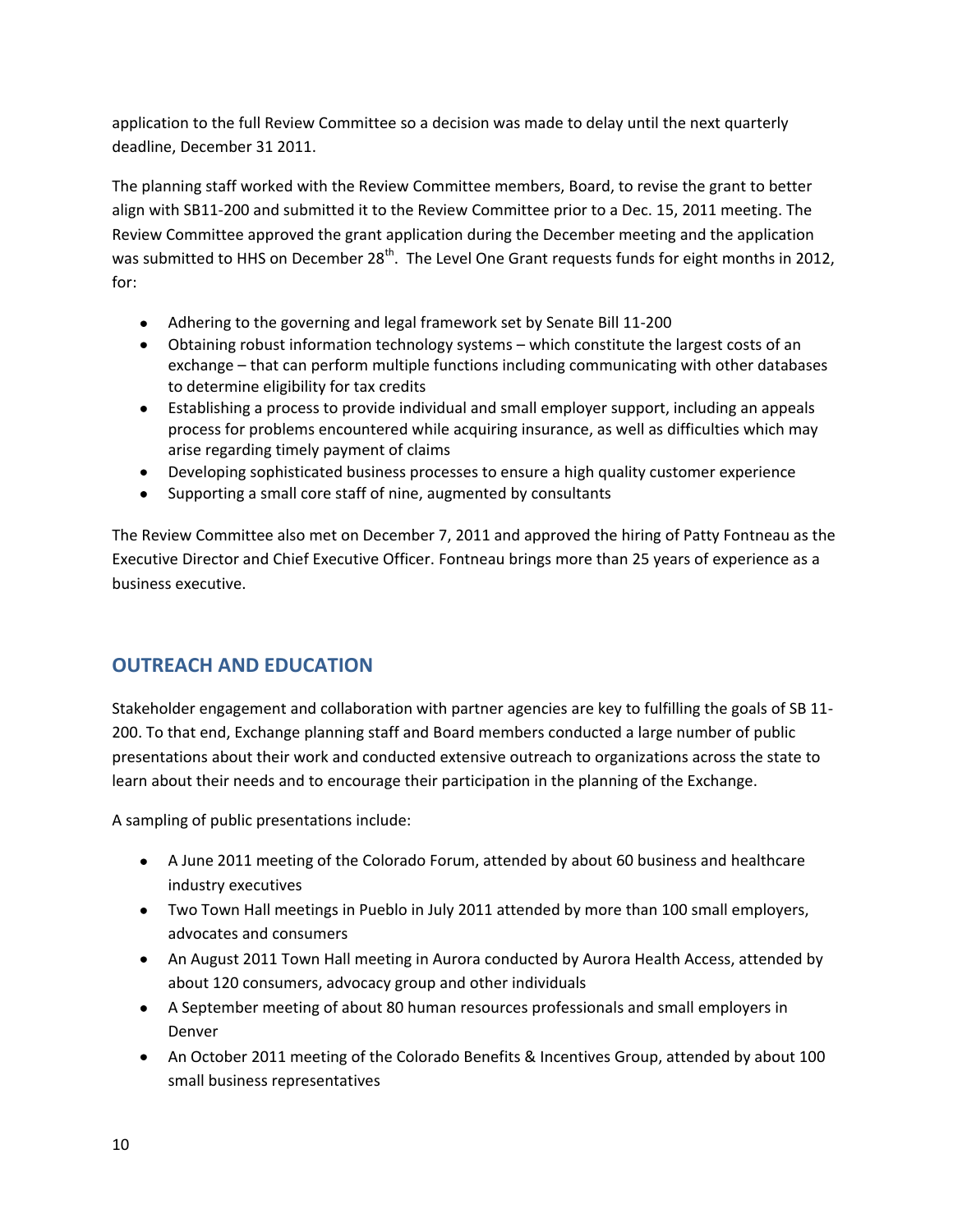application to the full Review Committee so a decision was made to delay until the next quarterly deadline, December 31 2011.

The planning staff worked with the Review Committee members, Board, to revise the grant to better align with SB11-200 and submitted it to the Review Committee prior to a Dec. 15, 2011 meeting. The Review Committee approved the grant application during the December meeting and the application was submitted to HHS on December 28<sup>th</sup>. The Level One Grant requests funds for eight months in 2012, for:

- Adhering to the governing and legal framework set by Senate Bill 11-200
- Obtaining robust information technology systems which constitute the largest costs of an exchange – that can perform multiple functions including communicating with other databases to determine eligibility for tax credits
- Establishing a process to provide individual and small employer support, including an appeals process for problems encountered while acquiring insurance, as well as difficulties which may arise regarding timely payment of claims
- Developing sophisticated business processes to ensure a high quality customer experience
- Supporting a small core staff of nine, augmented by consultants

The Review Committee also met on December 7, 2011 and approved the hiring of Patty Fontneau as the Executive Director and Chief Executive Officer. Fontneau brings more than 25 years of experience as a business executive.

# **OUTREACH AND EDUCATION**

Stakeholder engagement and collaboration with partner agencies are key to fulfilling the goals of SB 11- 200. To that end, Exchange planning staff and Board members conducted a large number of public presentations about their work and conducted extensive outreach to organizations across the state to learn about their needs and to encourage their participation in the planning of the Exchange.

A sampling of public presentations include:

- A June 2011 meeting of the Colorado Forum, attended by about 60 business and healthcare industry executives
- Two Town Hall meetings in Pueblo in July 2011 attended by more than 100 small employers, advocates and consumers
- An August 2011 Town Hall meeting in Aurora conducted by Aurora Health Access, attended by about 120 consumers, advocacy group and other individuals
- A September meeting of about 80 human resources professionals and small employers in Denver
- An October 2011 meeting of the Colorado Benefits & Incentives Group, attended by about 100 small business representatives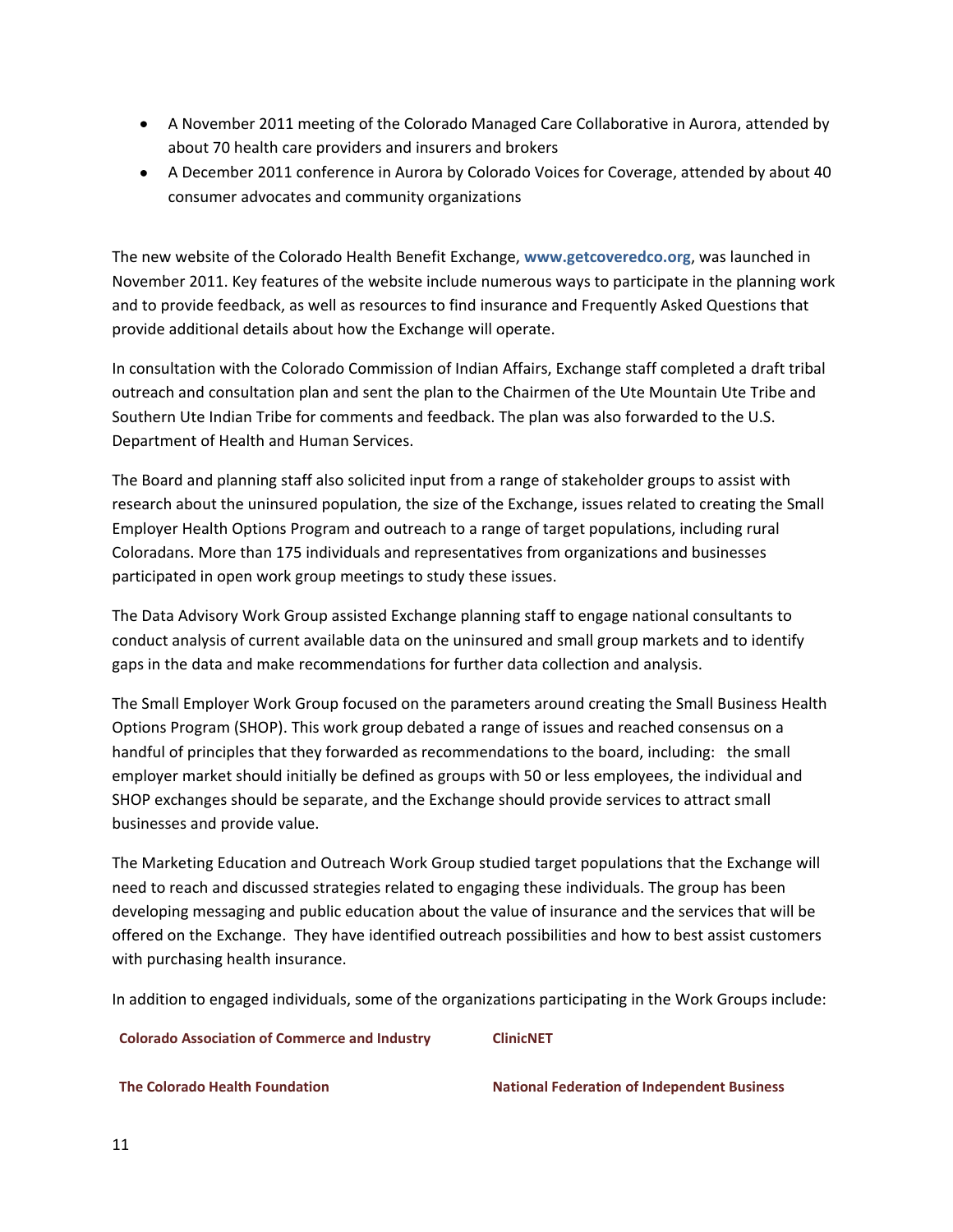- A November 2011 meeting of the Colorado Managed Care Collaborative in Aurora, attended by about 70 health care providers and insurers and brokers
- A December 2011 conference in Aurora by Colorado Voices for Coverage, attended by about 40 consumer advocates and community organizations

The new website of the Colorado Health Benefit Exchange, **www.getcoveredco.org**, was launched in November 2011. Key features of the website include numerous ways to participate in the planning work and to provide feedback, as well as resources to find insurance and Frequently Asked Questions that provide additional details about how the Exchange will operate.

In consultation with the Colorado Commission of Indian Affairs, Exchange staff completed a draft tribal outreach and consultation plan and sent the plan to the Chairmen of the Ute Mountain Ute Tribe and Southern Ute Indian Tribe for comments and feedback. The plan was also forwarded to the U.S. Department of Health and Human Services.

The Board and planning staff also solicited input from a range of stakeholder groups to assist with research about the uninsured population, the size of the Exchange, issues related to creating the Small Employer Health Options Program and outreach to a range of target populations, including rural Coloradans. More than 175 individuals and representatives from organizations and businesses participated in open work group meetings to study these issues.

The Data Advisory Work Group assisted Exchange planning staff to engage national consultants to conduct analysis of current available data on the uninsured and small group markets and to identify gaps in the data and make recommendations for further data collection and analysis.

The Small Employer Work Group focused on the parameters around creating the Small Business Health Options Program (SHOP). This work group debated a range of issues and reached consensus on a handful of principles that they forwarded as recommendations to the board, including: the small employer market should initially be defined as groups with 50 or less employees, the individual and SHOP exchanges should be separate, and the Exchange should provide services to attract small businesses and provide value.

The Marketing Education and Outreach Work Group studied target populations that the Exchange will need to reach and discussed strategies related to engaging these individuals. The group has been developing messaging and public education about the value of insurance and the services that will be offered on the Exchange. They have identified outreach possibilities and how to best assist customers with purchasing health insurance.

In addition to engaged individuals, some of the organizations participating in the Work Groups include:

**Colorado Association of Commerce and Industry ClinicNET**

**The Colorado Health Foundation National Federation of Independent Business**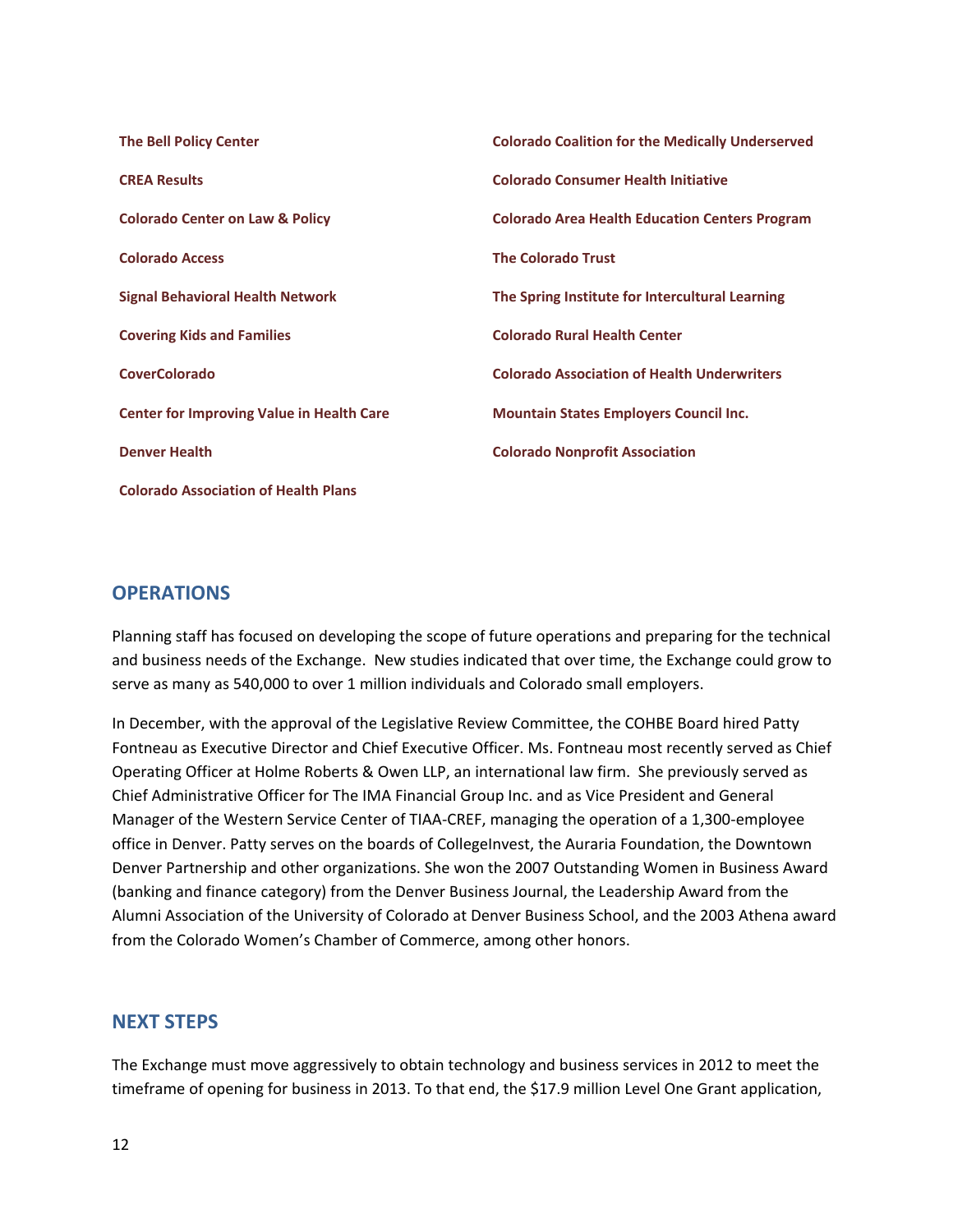| <b>The Bell Policy Center</b>                    | <b>Colorado Coalition for the Medically Underserved</b> |
|--------------------------------------------------|---------------------------------------------------------|
| <b>CREA Results</b>                              | <b>Colorado Consumer Health Initiative</b>              |
| <b>Colorado Center on Law &amp; Policy</b>       | <b>Colorado Area Health Education Centers Program</b>   |
| <b>Colorado Access</b>                           | <b>The Colorado Trust</b>                               |
| <b>Signal Behavioral Health Network</b>          | The Spring Institute for Intercultural Learning         |
| <b>Covering Kids and Families</b>                | <b>Colorado Rural Health Center</b>                     |
| <b>CoverColorado</b>                             | <b>Colorado Association of Health Underwriters</b>      |
| <b>Center for Improving Value in Health Care</b> | <b>Mountain States Employers Council Inc.</b>           |
| <b>Denver Health</b>                             | <b>Colorado Nonprofit Association</b>                   |
| <b>Colorado Association of Health Plans</b>      |                                                         |

## **OPERATIONS**

Planning staff has focused on developing the scope of future operations and preparing for the technical and business needs of the Exchange. New studies indicated that over time, the Exchange could grow to serve as many as 540,000 to over 1 million individuals and Colorado small employers.

In December, with the approval of the Legislative Review Committee, the COHBE Board hired Patty Fontneau as Executive Director and Chief Executive Officer. Ms. Fontneau most recently served as Chief Operating Officer at Holme Roberts & Owen LLP, an international law firm. She previously served as Chief Administrative Officer for The IMA Financial Group Inc. and as Vice President and General Manager of the Western Service Center of TIAA-CREF, managing the operation of a 1,300-employee office in Denver. Patty serves on the boards of CollegeInvest, the Auraria Foundation, the Downtown Denver Partnership and other organizations. She won the 2007 Outstanding Women in Business Award (banking and finance category) from the Denver Business Journal, the Leadership Award from the Alumni Association of the University of Colorado at Denver Business School, and the 2003 Athena award from the Colorado Women's Chamber of Commerce, among other honors.

## **NEXT STEPS**

The Exchange must move aggressively to obtain technology and business services in 2012 to meet the timeframe of opening for business in 2013. To that end, the \$17.9 million Level One Grant application,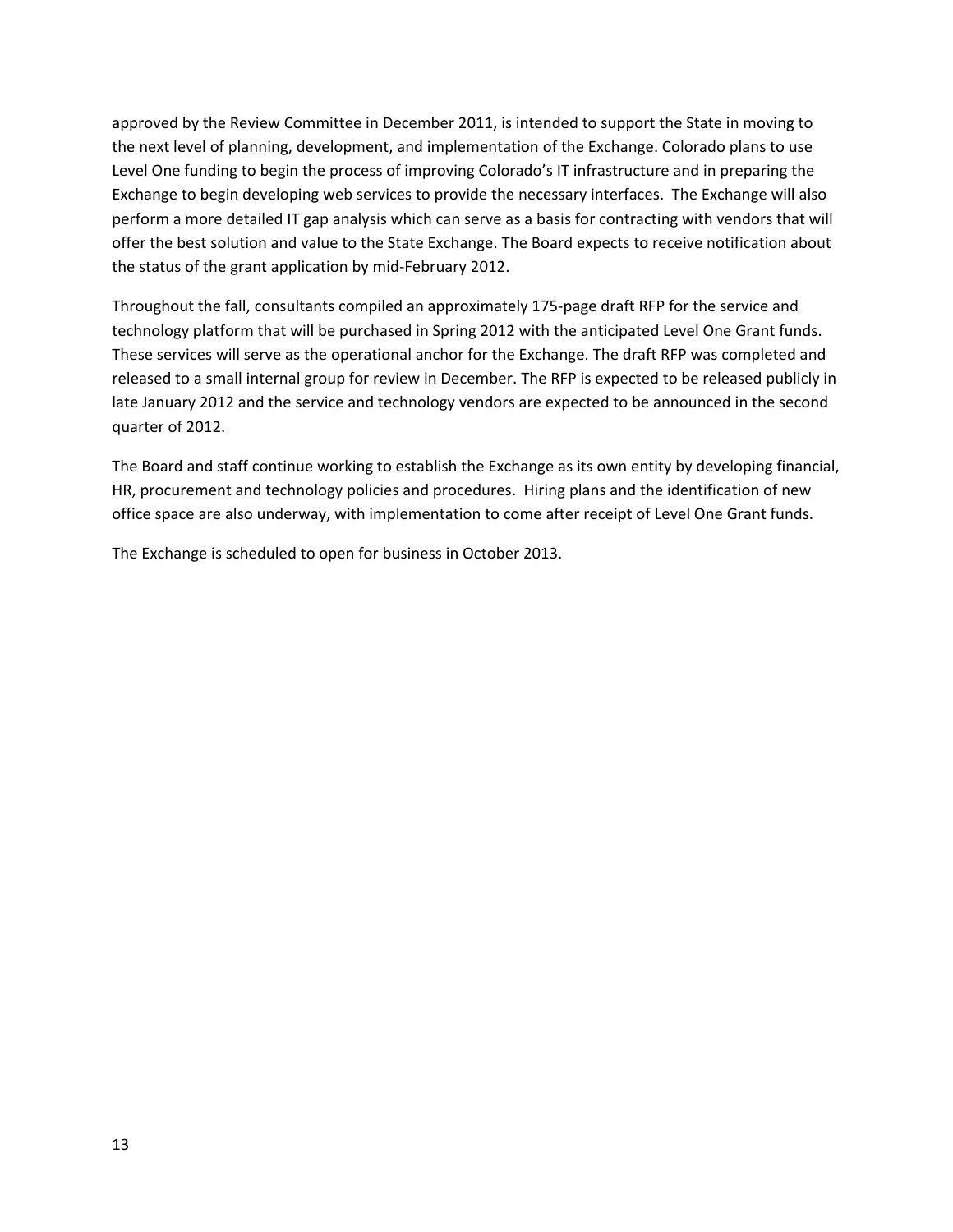approved by the Review Committee in December 2011, is intended to support the State in moving to the next level of planning, development, and implementation of the Exchange. Colorado plans to use Level One funding to begin the process of improving Colorado's IT infrastructure and in preparing the Exchange to begin developing web services to provide the necessary interfaces. The Exchange will also perform a more detailed IT gap analysis which can serve as a basis for contracting with vendors that will offer the best solution and value to the State Exchange. The Board expects to receive notification about the status of the grant application by mid-February 2012.

Throughout the fall, consultants compiled an approximately 175-page draft RFP for the service and technology platform that will be purchased in Spring 2012 with the anticipated Level One Grant funds. These services will serve as the operational anchor for the Exchange. The draft RFP was completed and released to a small internal group for review in December. The RFP is expected to be released publicly in late January 2012 and the service and technology vendors are expected to be announced in the second quarter of 2012.

The Board and staff continue working to establish the Exchange as its own entity by developing financial, HR, procurement and technology policies and procedures. Hiring plans and the identification of new office space are also underway, with implementation to come after receipt of Level One Grant funds.

The Exchange is scheduled to open for business in October 2013.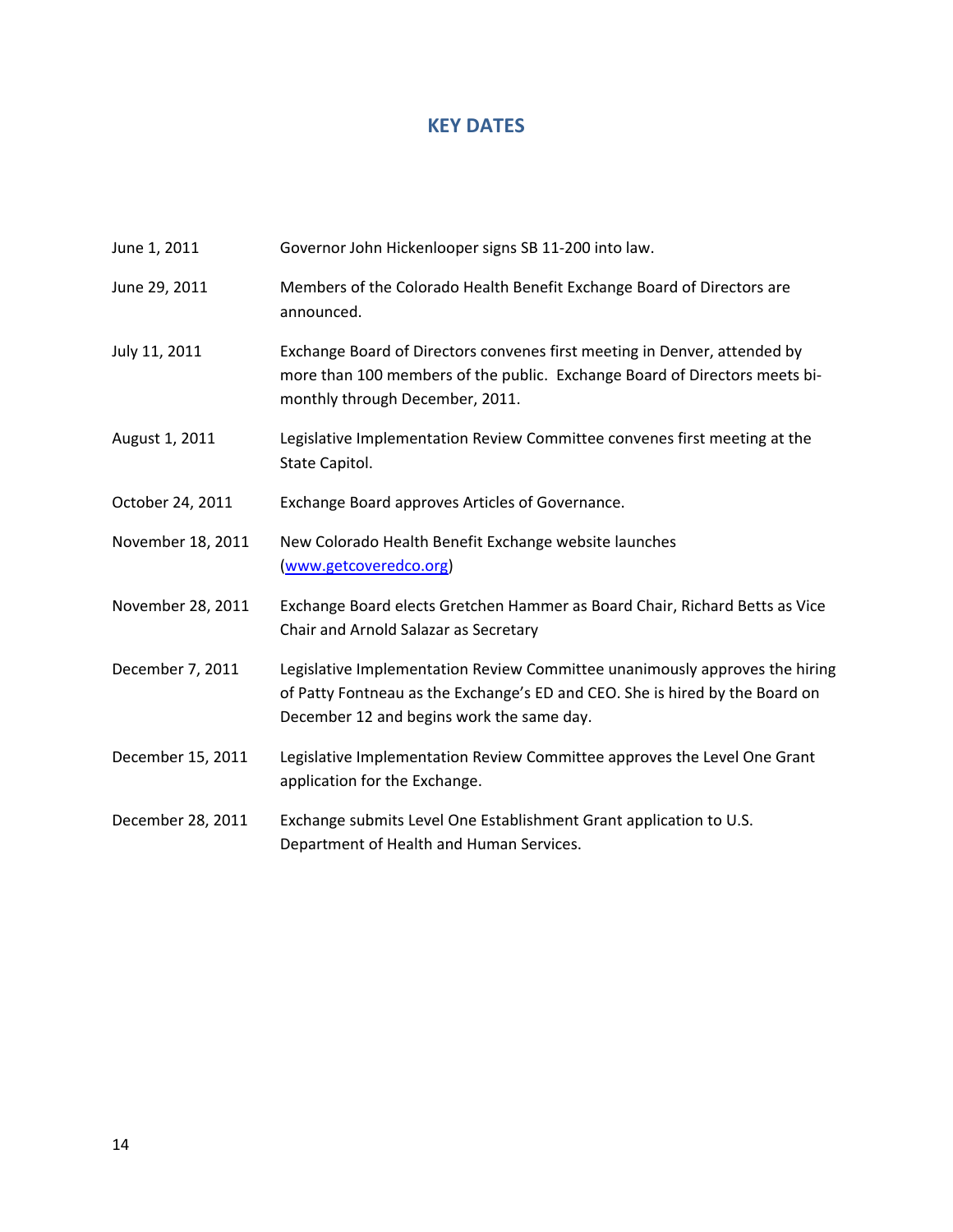## **KEY DATES**

June 1, 2011 Governor John Hickenlooper signs SB 11-200 into law.

| June 29, 2011     | Members of the Colorado Health Benefit Exchange Board of Directors are<br>announced.                                                                                                                     |
|-------------------|----------------------------------------------------------------------------------------------------------------------------------------------------------------------------------------------------------|
| July 11, 2011     | Exchange Board of Directors convenes first meeting in Denver, attended by<br>more than 100 members of the public. Exchange Board of Directors meets bi-<br>monthly through December, 2011.               |
| August 1, 2011    | Legislative Implementation Review Committee convenes first meeting at the<br>State Capitol.                                                                                                              |
| October 24, 2011  | Exchange Board approves Articles of Governance.                                                                                                                                                          |
| November 18, 2011 | New Colorado Health Benefit Exchange website launches<br>(www.getcoveredco.org)                                                                                                                          |
| November 28, 2011 | Exchange Board elects Gretchen Hammer as Board Chair, Richard Betts as Vice<br>Chair and Arnold Salazar as Secretary                                                                                     |
| December 7, 2011  | Legislative Implementation Review Committee unanimously approves the hiring<br>of Patty Fontneau as the Exchange's ED and CEO. She is hired by the Board on<br>December 12 and begins work the same day. |
| December 15, 2011 | Legislative Implementation Review Committee approves the Level One Grant<br>application for the Exchange.                                                                                                |
| December 28, 2011 | Exchange submits Level One Establishment Grant application to U.S.<br>Department of Health and Human Services.                                                                                           |